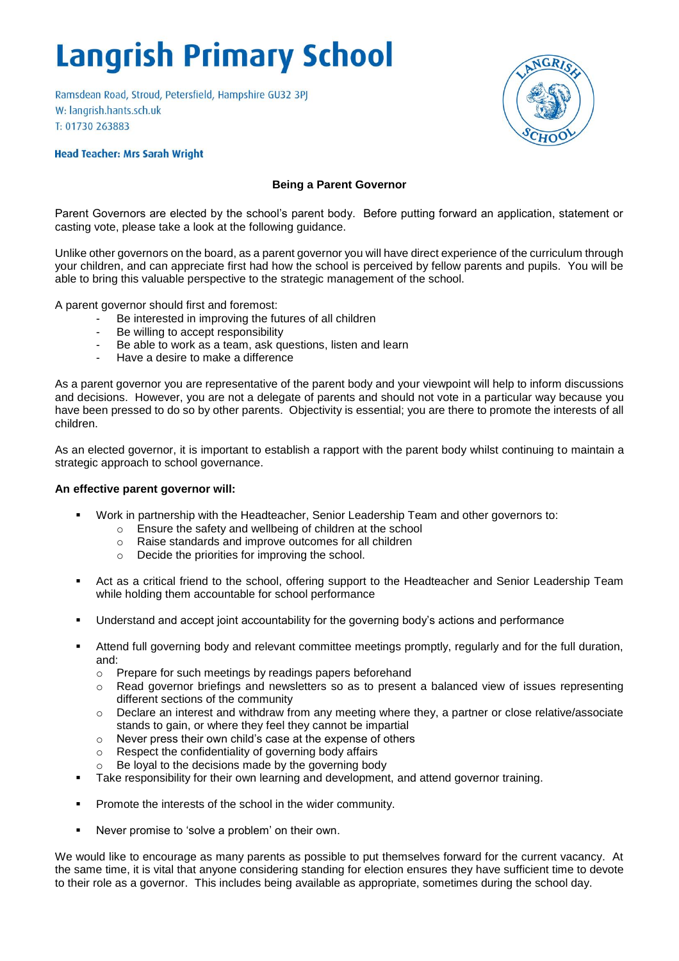# **Langrish Primary School**

Ramsdean Road, Stroud, Petersfield, Hampshire GU32 3PJ W: langrish.hants.sch.uk T: 01730 263883

### **Head Teacher: Mrs Sarah Wright**

## **Being a Parent Governor**

Parent Governors are elected by the school's parent body. Before putting forward an application, statement or casting vote, please take a look at the following guidance.

Unlike other governors on the board, as a parent governor you will have direct experience of the curriculum through your children, and can appreciate first had how the school is perceived by fellow parents and pupils. You will be able to bring this valuable perspective to the strategic management of the school.

A parent governor should first and foremost:

- Be interested in improving the futures of all children
- Be willing to accept responsibility
- Be able to work as a team, ask questions, listen and learn
- Have a desire to make a difference

As a parent governor you are representative of the parent body and your viewpoint will help to inform discussions and decisions. However, you are not a delegate of parents and should not vote in a particular way because you have been pressed to do so by other parents. Objectivity is essential; you are there to promote the interests of all children.

As an elected governor, it is important to establish a rapport with the parent body whilst continuing to maintain a strategic approach to school governance.

#### **An effective parent governor will:**

- Work in partnership with the Headteacher, Senior Leadership Team and other governors to:
	- o Ensure the safety and wellbeing of children at the school
	- o Raise standards and improve outcomes for all children
	- o Decide the priorities for improving the school.
- Act as a critical friend to the school, offering support to the Headteacher and Senior Leadership Team while holding them accountable for school performance
- Understand and accept joint accountability for the governing body's actions and performance
- Attend full governing body and relevant committee meetings promptly, regularly and for the full duration, and:
	- o Prepare for such meetings by readings papers beforehand
	- o Read governor briefings and newsletters so as to present a balanced view of issues representing different sections of the community
	- o Declare an interest and withdraw from any meeting where they, a partner or close relative/associate stands to gain, or where they feel they cannot be impartial
	- o Never press their own child's case at the expense of others
	- o Respect the confidentiality of governing body affairs
	- Be loyal to the decisions made by the governing body
- Take responsibility for their own learning and development, and attend governor training.
- **Promote the interests of the school in the wider community.**
- Never promise to 'solve a problem' on their own.

We would like to encourage as many parents as possible to put themselves forward for the current vacancy. At the same time, it is vital that anyone considering standing for election ensures they have sufficient time to devote to their role as a governor. This includes being available as appropriate, sometimes during the school day.